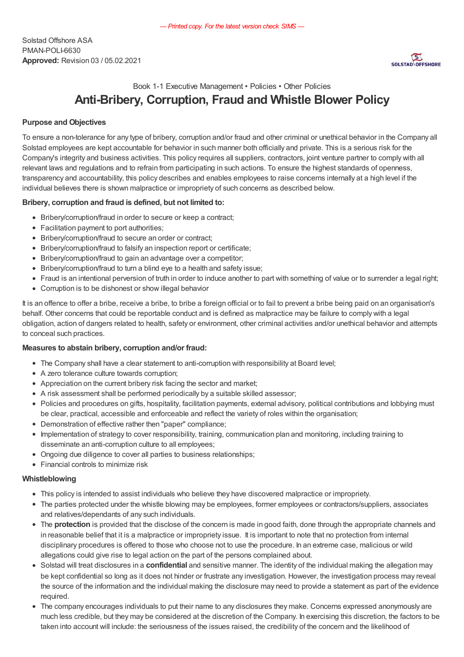

# Book 1-1 Executive Management • Policies • Other Policies Anti-Bribery, Corruption, Fraud and Whistle Blower Policy

## Purpose and Objectives

To ensure a non-tolerance for any type of bribery, corruption and/or fraud and other criminal or unethical behavior in the Company all Solstad employees are kept accountable for behavior in such manner both officially and private. This is a serious risk for the Company's integrity and business activities. This policy requires all suppliers, contractors, joint venture partner to comply with all relevant laws and regulations and to refrain from participating in such actions. To ensure the highest standards of openness, transparency and accountability, this policy describes and enables employees to raise concerns internally at a high level if the individual believes there is shown malpractice or impropriety of such concerns as described below.

## Bribery, corruption and fraud is defined, but not limited to:

- Bribery/corruption/fraud in order to secure or keep a contract;
- Facilitation payment to port authorities;
- Bribery/corruption/fraud to secure an order or contract;
- Bribery/corruption/fraud to falsify an inspection report or certificate;
- Bribery/corruption/fraud to gain an advantage over a competitor;
- Bribery/corruption/fraud to turn a blind eye to a health and safety issue;
- Fraud is an intentional perversion of truth in order to induce another to part with something of value or to surrender a legal right;
- Corruption is to be dishonest or show illegal behavior

It is an offence to offer a bribe, receive a bribe, to bribe a foreign official or to fail to prevent a bribe being paid on an organisation's behalf. Other concerns that could be reportable conduct and is defined as malpractice may be failure to comply with a legal obligation, action of dangers related to health, safety or environment, other criminal activities and/or unethical behavior and attempts to conceal such practices.

## Measures to abstain bribery, corruption and/or fraud:

- The Company shall have a clear statement to anti-corruption with responsibility at Board level;
- A zero tolerance culture towards corruption;
- Appreciation on the current bribery risk facing the sector and market;
- A risk assessment shall be performed periodically by a suitable skilled assessor;
- Policies and procedures on gifts, hospitality, facilitation payments, external advisory, political contributions and lobbying must be clear, practical, accessible and enforceable and reflect the variety of roles within the organisation;
- Demonstration of effective rather then "paper" compliance;
- Implementation of strategy to cover responsibility, training, communication plan and monitoring, including training to disseminate an anti-corruption culture to all employees;
- Ongoing due diligence to cover all parties to business relationships;
- Financial controls to minimize risk

### Whistleblowing

- This policy is intended to assist individuals who believe they have discovered malpractice or impropriety.
- The parties protected under the whistle blowing may be employees, former employees or contractors/suppliers, associates and relatives/dependants of any such individuals.
- The protection is provided that the disclose of the concern is made in good faith, done through the appropriate channels and in reasonable belief that it is a malpractice or impropriety issue. It is important to note that no protection from internal disciplinary procedures is offered to those who choose not to use the procedure. In an extreme case, malicious or wild allegations could give rise to legal action on the part of the persons complained about.
- Solstad will treat disclosures in a confidential and sensitive manner. The identity of the individual making the allegation may be kept confidential so long as it does not hinder or frustrate any investigation. However, the investigation process may reveal the source of the information and the individual making the disclosure may need to provide a statement as part of the evidence required.
- The company encourages individuals to put their name to any disclosures they make. Concerns expressed anonymously are much less credible, but they may be considered at the discretion of the Company. In exercising this discretion, the factors to be taken into account will include: the seriousness of the issues raised, the credibility of the concern and the likelihood of